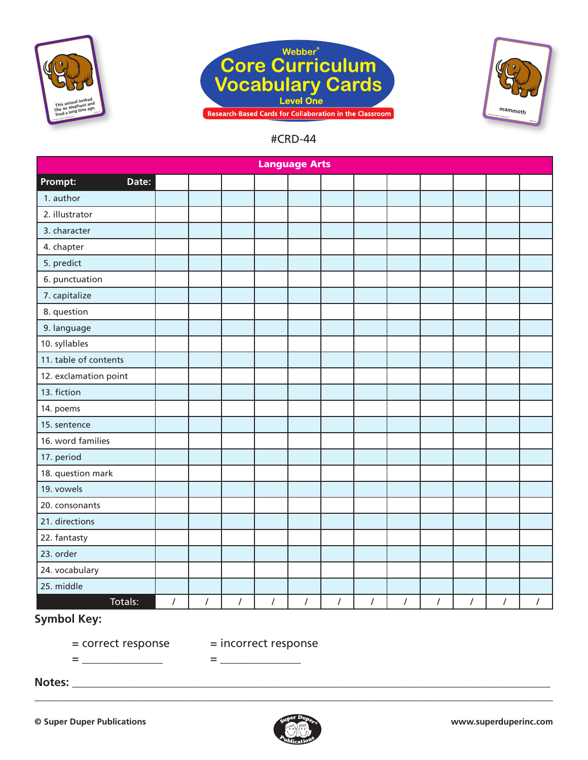





| <b>Language Arts</b>  |            |                |            |                |            |            |            |                |                |                |            |            |
|-----------------------|------------|----------------|------------|----------------|------------|------------|------------|----------------|----------------|----------------|------------|------------|
| Prompt:<br>Date:      |            |                |            |                |            |            |            |                |                |                |            |            |
| 1. author             |            |                |            |                |            |            |            |                |                |                |            |            |
| 2. illustrator        |            |                |            |                |            |            |            |                |                |                |            |            |
| 3. character          |            |                |            |                |            |            |            |                |                |                |            |            |
| 4. chapter            |            |                |            |                |            |            |            |                |                |                |            |            |
| 5. predict            |            |                |            |                |            |            |            |                |                |                |            |            |
| 6. punctuation        |            |                |            |                |            |            |            |                |                |                |            |            |
| 7. capitalize         |            |                |            |                |            |            |            |                |                |                |            |            |
| 8. question           |            |                |            |                |            |            |            |                |                |                |            |            |
| 9. language           |            |                |            |                |            |            |            |                |                |                |            |            |
| 10. syllables         |            |                |            |                |            |            |            |                |                |                |            |            |
| 11. table of contents |            |                |            |                |            |            |            |                |                |                |            |            |
| 12. exclamation point |            |                |            |                |            |            |            |                |                |                |            |            |
| 13. fiction           |            |                |            |                |            |            |            |                |                |                |            |            |
| 14. poems             |            |                |            |                |            |            |            |                |                |                |            |            |
| 15. sentence          |            |                |            |                |            |            |            |                |                |                |            |            |
| 16. word families     |            |                |            |                |            |            |            |                |                |                |            |            |
| 17. period            |            |                |            |                |            |            |            |                |                |                |            |            |
| 18. question mark     |            |                |            |                |            |            |            |                |                |                |            |            |
| 19. vowels            |            |                |            |                |            |            |            |                |                |                |            |            |
| 20. consonants        |            |                |            |                |            |            |            |                |                |                |            |            |
| 21. directions        |            |                |            |                |            |            |            |                |                |                |            |            |
| 22. fantasty          |            |                |            |                |            |            |            |                |                |                |            |            |
| 23. order             |            |                |            |                |            |            |            |                |                |                |            |            |
| 24. vocabulary        |            |                |            |                |            |            |            |                |                |                |            |            |
| 25. middle            |            |                |            |                |            |            |            |                |                |                |            |            |
| Totals:               | $\sqrt{ }$ | $\overline{I}$ | $\sqrt{ }$ | $\overline{I}$ | $\sqrt{ }$ | $\sqrt{ }$ | $\sqrt{ }$ | $\overline{1}$ | $\overline{I}$ | $\overline{I}$ | $\sqrt{2}$ | $\sqrt{2}$ |

## **Symbol Key:**

= correct response = incorrect response

= \_\_\_\_\_\_\_\_\_\_\_\_\_\_ = \_\_\_\_\_\_\_\_\_\_\_\_\_\_

**Notes:** \_\_\_\_\_\_\_\_\_\_\_\_\_\_\_\_\_\_\_\_\_\_\_\_\_\_\_\_\_\_\_\_\_\_\_\_\_\_\_\_\_\_\_\_\_\_\_\_\_\_\_\_\_\_\_\_\_\_\_\_\_\_\_\_\_\_\_\_\_\_\_\_\_\_\_\_\_\_\_\_\_\_\_

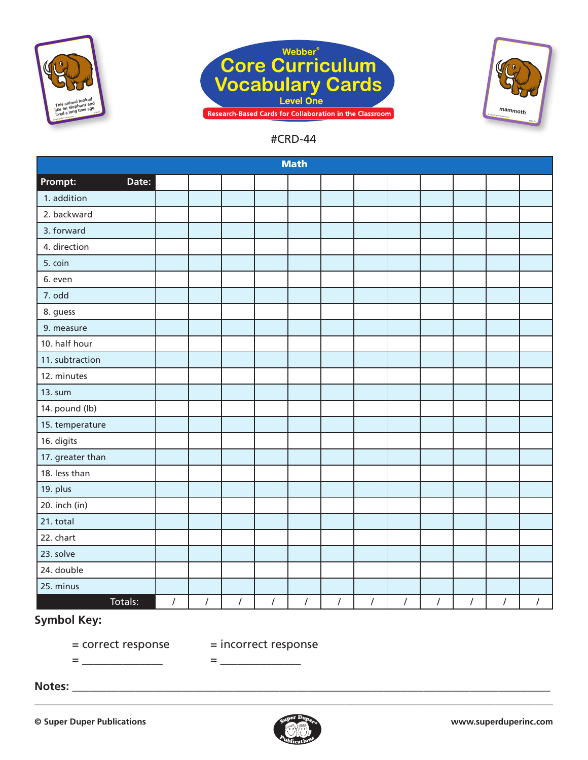





|                  |                |            |                |                | <b>Math</b> |            |            |            |            |                |            |                |
|------------------|----------------|------------|----------------|----------------|-------------|------------|------------|------------|------------|----------------|------------|----------------|
| Prompt:<br>Date: |                |            |                |                |             |            |            |            |            |                |            |                |
| 1. addition      |                |            |                |                |             |            |            |            |            |                |            |                |
| 2. backward      |                |            |                |                |             |            |            |            |            |                |            |                |
| 3. forward       |                |            |                |                |             |            |            |            |            |                |            |                |
| 4. direction     |                |            |                |                |             |            |            |            |            |                |            |                |
| 5. coin          |                |            |                |                |             |            |            |            |            |                |            |                |
| 6. even          |                |            |                |                |             |            |            |            |            |                |            |                |
| 7. odd           |                |            |                |                |             |            |            |            |            |                |            |                |
| 8. guess         |                |            |                |                |             |            |            |            |            |                |            |                |
| 9. measure       |                |            |                |                |             |            |            |            |            |                |            |                |
| 10. half hour    |                |            |                |                |             |            |            |            |            |                |            |                |
| 11. subtraction  |                |            |                |                |             |            |            |            |            |                |            |                |
| 12. minutes      |                |            |                |                |             |            |            |            |            |                |            |                |
| 13. sum          |                |            |                |                |             |            |            |            |            |                |            |                |
| 14. pound (lb)   |                |            |                |                |             |            |            |            |            |                |            |                |
| 15. temperature  |                |            |                |                |             |            |            |            |            |                |            |                |
| 16. digits       |                |            |                |                |             |            |            |            |            |                |            |                |
| 17. greater than |                |            |                |                |             |            |            |            |            |                |            |                |
| 18. less than    |                |            |                |                |             |            |            |            |            |                |            |                |
| 19. plus         |                |            |                |                |             |            |            |            |            |                |            |                |
| 20. inch (in)    |                |            |                |                |             |            |            |            |            |                |            |                |
| 21. total        |                |            |                |                |             |            |            |            |            |                |            |                |
| 22. chart        |                |            |                |                |             |            |            |            |            |                |            |                |
| 23. solve        |                |            |                |                |             |            |            |            |            |                |            |                |
| 24. double       |                |            |                |                |             |            |            |            |            |                |            |                |
| 25. minus        |                |            |                |                |             |            |            |            |            |                |            |                |
| Totals:          | $\overline{I}$ | $\sqrt{ }$ | $\overline{I}$ | $\overline{1}$ | $\sqrt{ }$  | $\sqrt{ }$ | $\sqrt{ }$ | $\sqrt{ }$ | $\sqrt{ }$ | $\overline{1}$ | $\sqrt{ }$ | $\overline{I}$ |

# **Symbol Key:**

= \_\_\_\_\_\_\_\_\_\_\_\_\_\_ = \_\_\_\_\_\_\_\_\_\_\_\_\_\_

= correct response = incorrect response

**Notes:** \_\_\_\_\_\_\_\_\_\_\_\_\_\_\_\_\_\_\_\_\_\_\_\_\_\_\_\_\_\_\_\_\_\_\_\_\_\_\_\_\_\_\_\_\_\_\_\_\_\_\_\_\_\_\_\_\_\_\_\_\_\_\_\_\_\_\_\_\_\_\_\_\_\_\_\_\_\_\_\_\_\_\_

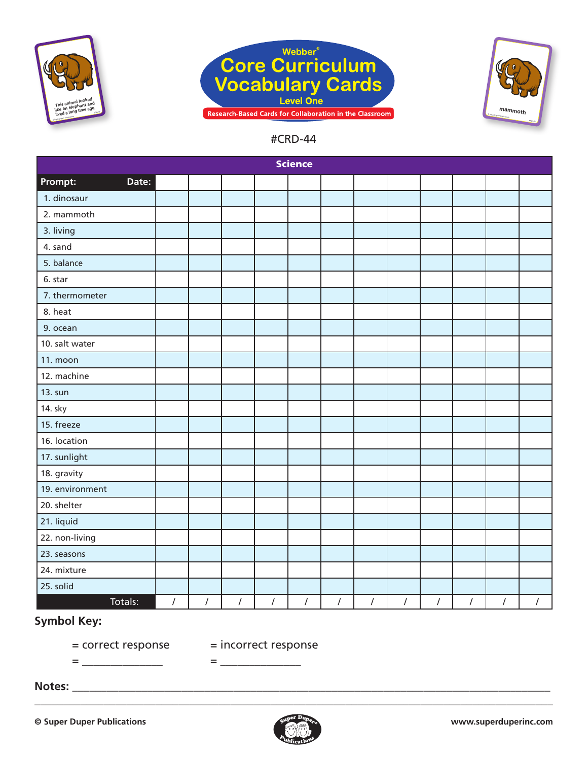





|                  |            |            |            |            | <b>Science</b> |            |            |                |            |            |            |            |
|------------------|------------|------------|------------|------------|----------------|------------|------------|----------------|------------|------------|------------|------------|
| Prompt:<br>Date: |            |            |            |            |                |            |            |                |            |            |            |            |
| 1. dinosaur      |            |            |            |            |                |            |            |                |            |            |            |            |
| 2. mammoth       |            |            |            |            |                |            |            |                |            |            |            |            |
| 3. living        |            |            |            |            |                |            |            |                |            |            |            |            |
| 4. sand          |            |            |            |            |                |            |            |                |            |            |            |            |
| 5. balance       |            |            |            |            |                |            |            |                |            |            |            |            |
| 6. star          |            |            |            |            |                |            |            |                |            |            |            |            |
| 7. thermometer   |            |            |            |            |                |            |            |                |            |            |            |            |
| 8. heat          |            |            |            |            |                |            |            |                |            |            |            |            |
| 9. ocean         |            |            |            |            |                |            |            |                |            |            |            |            |
| 10. salt water   |            |            |            |            |                |            |            |                |            |            |            |            |
| 11. moon         |            |            |            |            |                |            |            |                |            |            |            |            |
| 12. machine      |            |            |            |            |                |            |            |                |            |            |            |            |
| 13. sun          |            |            |            |            |                |            |            |                |            |            |            |            |
| 14. sky          |            |            |            |            |                |            |            |                |            |            |            |            |
| 15. freeze       |            |            |            |            |                |            |            |                |            |            |            |            |
| 16. location     |            |            |            |            |                |            |            |                |            |            |            |            |
| 17. sunlight     |            |            |            |            |                |            |            |                |            |            |            |            |
| 18. gravity      |            |            |            |            |                |            |            |                |            |            |            |            |
| 19. environment  |            |            |            |            |                |            |            |                |            |            |            |            |
| 20. shelter      |            |            |            |            |                |            |            |                |            |            |            |            |
| 21. liquid       |            |            |            |            |                |            |            |                |            |            |            |            |
| 22. non-living   |            |            |            |            |                |            |            |                |            |            |            |            |
| 23. seasons      |            |            |            |            |                |            |            |                |            |            |            |            |
| 24. mixture      |            |            |            |            |                |            |            |                |            |            |            |            |
| 25. solid        |            |            |            |            |                |            |            |                |            |            |            |            |
| Totals:          | $\sqrt{2}$ | $\sqrt{2}$ | $\sqrt{ }$ | $\sqrt{ }$ | $\sqrt{ }$     | $\sqrt{ }$ | $\sqrt{ }$ | $\overline{I}$ | $\sqrt{2}$ | $\sqrt{2}$ | $\sqrt{ }$ | $\sqrt{ }$ |

# **Symbol Key:**

= \_\_\_\_\_\_\_\_\_\_\_\_\_\_ = \_\_\_\_\_\_\_\_\_\_\_\_\_\_

= correct response = incorrect response

**Notes:** \_\_\_\_\_\_\_\_\_\_\_\_\_\_\_\_\_\_\_\_\_\_\_\_\_\_\_\_\_\_\_\_\_\_\_\_\_\_\_\_\_\_\_\_\_\_\_\_\_\_\_\_\_\_\_\_\_\_\_\_\_\_\_\_\_\_\_\_\_\_\_\_\_\_\_\_\_\_\_\_\_\_\_

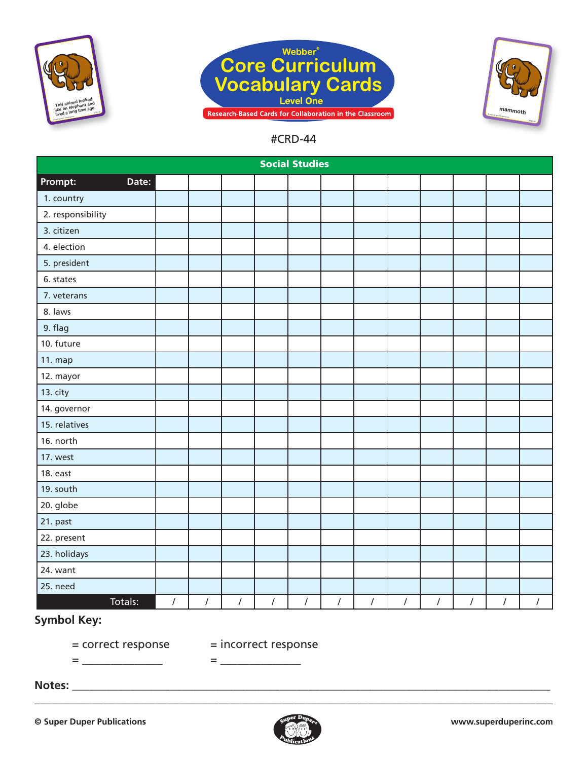





|                   |                |            |            |                  | <b>Social Studies</b> |            |            |                                               |                  |                |            |            |
|-------------------|----------------|------------|------------|------------------|-----------------------|------------|------------|-----------------------------------------------|------------------|----------------|------------|------------|
| Prompt:<br>Date:  |                |            |            |                  |                       |            |            |                                               |                  |                |            |            |
| 1. country        |                |            |            |                  |                       |            |            |                                               |                  |                |            |            |
| 2. responsibility |                |            |            |                  |                       |            |            |                                               |                  |                |            |            |
| 3. citizen        |                |            |            |                  |                       |            |            |                                               |                  |                |            |            |
| 4. election       |                |            |            |                  |                       |            |            |                                               |                  |                |            |            |
| 5. president      |                |            |            |                  |                       |            |            |                                               |                  |                |            |            |
| 6. states         |                |            |            |                  |                       |            |            |                                               |                  |                |            |            |
| 7. veterans       |                |            |            |                  |                       |            |            |                                               |                  |                |            |            |
| 8. laws           |                |            |            |                  |                       |            |            |                                               |                  |                |            |            |
| 9. flag           |                |            |            |                  |                       |            |            |                                               |                  |                |            |            |
| 10. future        |                |            |            |                  |                       |            |            |                                               |                  |                |            |            |
| 11. map           |                |            |            |                  |                       |            |            |                                               |                  |                |            |            |
| 12. mayor         |                |            |            |                  |                       |            |            |                                               |                  |                |            |            |
| 13. city          |                |            |            |                  |                       |            |            |                                               |                  |                |            |            |
| 14. governor      |                |            |            |                  |                       |            |            |                                               |                  |                |            |            |
| 15. relatives     |                |            |            |                  |                       |            |            |                                               |                  |                |            |            |
| 16. north         |                |            |            |                  |                       |            |            |                                               |                  |                |            |            |
| 17. west          |                |            |            |                  |                       |            |            |                                               |                  |                |            |            |
| 18. east          |                |            |            |                  |                       |            |            |                                               |                  |                |            |            |
| 19. south         |                |            |            |                  |                       |            |            |                                               |                  |                |            |            |
| 20. globe         |                |            |            |                  |                       |            |            |                                               |                  |                |            |            |
| 21. past          |                |            |            |                  |                       |            |            |                                               |                  |                |            |            |
| 22. present       |                |            |            |                  |                       |            |            |                                               |                  |                |            |            |
| 23. holidays      |                |            |            |                  |                       |            |            |                                               |                  |                |            |            |
| 24. want          |                |            |            |                  |                       |            |            |                                               |                  |                |            |            |
| 25. need          |                |            |            |                  |                       |            |            |                                               |                  |                |            |            |
| Totals:           | $\overline{I}$ | $\sqrt{ }$ | $\sqrt{ }$ | $\left  \right $ | $\sqrt{ }$            | $\sqrt{ }$ | $\sqrt{2}$ | $\left  \begin{array}{c} \end{array} \right $ | $\left  \right $ | $\overline{I}$ | $\sqrt{2}$ | $\sqrt{ }$ |

# **Symbol Key:**

= \_\_\_\_\_\_\_\_\_\_\_\_\_\_ = \_\_\_\_\_\_\_\_\_\_\_\_\_\_

= correct response = incorrect response

**Notes:** \_\_\_\_\_\_\_\_\_\_\_\_\_\_\_\_\_\_\_\_\_\_\_\_\_\_\_\_\_\_\_\_\_\_\_\_\_\_\_\_\_\_\_\_\_\_\_\_\_\_\_\_\_\_\_\_\_\_\_\_\_\_\_\_\_\_\_\_\_\_\_\_\_\_\_\_\_\_\_\_\_\_\_